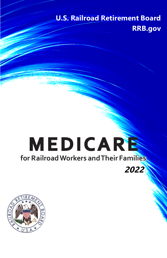# **U.S. Railroad Retirement Board RRB.gov**

# **MEDICARE for Railroad Workers and Their Families 2022**

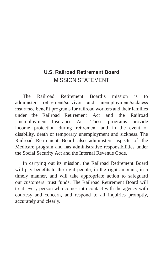# **U.S. Railroad Retirement Board** MISSION STATEMENT

The Railroad Retirement Board's mission is to administer retirement/survivor and unemployment/sickness insurance benefit programs for railroad workers and their families under the Railroad Retirement Act and the Railroad Unemployment Insurance Act. These programs provide income protection during retirement and in the event of disability, death or temporary unemployment and sickness. The Railroad Retirement Board also administers aspects of the Medicare program and has administrative responsibilities under the Social Security Act and the Internal Revenue Code.

In carrying out its mission, the Railroad Retirement Board will pay benefits to the right people, in the right amounts, in a timely manner, and will take appropriate action to safeguard our customers' trust funds. The Railroad Retirement Board will treat every person who comes into contact with the agency with courtesy and concern, and respond to all inquiries promptly, accurately and clearly.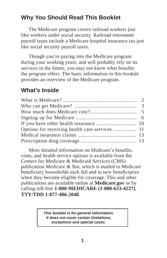# **Why You Should Read This Booklet**

The Medicare program covers railroad workers just like workers under social security. Railroad retirement payroll taxes include a Medicare hospital insurance tax just like social security payroll taxes.

Though you're paying into the Medicare program during your working years, and will probably rely on its services in the future, you may not know what benefits the program offers. The basic information in this booklet provides an overview of the Medicare program.

# **What's Inside**

More detailed information on Medicare's benefits, costs, and health service options is available from the Centers for Medicare & Medicaid Services (CMS) publication *Medicare & You,* which is mailed to Medicare beneficiary households each fall and to new beneficiaries when they become eligible for coverage. This and other publications are available online at **Medicare.gov** or by calling toll-free **1-800-MEDICARE (1-800-633-4227)**, **TTY/TDD 1-877-486-2048**.

> *This booklet is for general information. It does not cover certain limitations, exceptions and special cases.*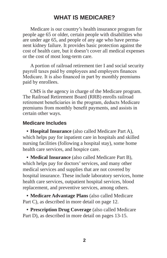# **WHAT IS MEDICARE?**

Medicare is our country's health insurance program for people age 65 or older, certain people with disabilities who are under age 65, and people of any age who have permanent kidney failure. It provides basic protection against the cost of health care, but it doesn't cover all medical expenses or the cost of most long-term care.

A portion of railroad retirement tier I and social security payroll taxes paid by employees and employers finances Medicare. It is also financed in part by monthly premiums paid by enrollees.

CMS is the agency in charge of the Medicare program. The Railroad Retirement Board (RRB) enrolls railroad retirement beneficiaries in the program, deducts Medicare premiums from monthly benefit payments, and assists in certain other ways.

#### **Medicare Includes**

**• Hospital Insurance** (also called Medicare Part A), which helps pay for inpatient care in hospitals and skilled nursing facilities (following a hospital stay), some home health care services, and hospice care.

**• Medical Insurance** (also called Medicare Part B), which helps pay for doctors' services, and many other medical services and supplies that are not covered by hospital insurance. These include laboratory services, home health care services, outpatient hospital services, blood replacement, and preventive services, among others.

**• Medicare Advantage Plans** (also called Medicare Part C), as described in more detail on page 12.

**• Prescription Drug Coverage** (also called Medicare Part D), as described in more detail on pages 13-15.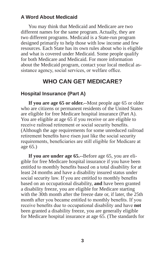#### **A Word About Medicaid**

You may think that Medicaid and Medicare are two different names for the same program. Actually, they are two different programs. Medicaid is a State-run program designed primarily to help those with low income and few resources. Each State has its own rules about who is eligible and what is covered under Medicaid. Some people qualify for both Medicare and Medicaid. For more information about the Medicaid program, contact your local medical assistance agency, social services, or welfare office.

# **WHO CAN GET MEDICARE?**

#### **Hospital Insurance (Part A)**

**If you are age 65 or older.--**Most people age 65 or older who are citizens or permanent residents of the United States are eligible for free Medicare hospital insurance (Part A). You are eligible at age 65 if you receive or are eligible to receive railroad retirement or social security benefits. (Although the age requirements for some unreduced railroad retirement benefits have risen just like the social security requirements, beneficiaries are still eligible for Medicare at age 65.)

**If you are under age 65.--**Before age 65, you are eligible for free Medicare hospital insurance if you have been entitled to monthly benefits based on a total disability for at least 24 months and have a disability insured status under social security law. If you are entitled to monthly benefits based on an occupational disability, **and** have been granted a disability freeze, you are eligible for Medicare starting with the 30th month after the freeze date or, if later, the 25th month after you became entitled to monthly benefits. If you receive benefits due to occupational disability and have **not** been granted a disability freeze, you are generally eligible for Medicare hospital insurance at age 65. (The standards for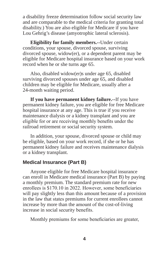a disability freeze determination follow social security law and are comparable to the medical criteria for granting total disability.) You are also eligible for Medicare if you have Lou Gehrig's disease (amyotrophic lateral sclerosis).

**Eligibility for family members.--**Under certain conditions, your spouse, divorced spouse, surviving divorced spouse, widow(er), or a dependent parent may be eligible for Medicare hospital insurance based on your work record when he or she turns age 65.

Also, disabled widow(er)s under age 65, disabled surviving divorced spouses under age 65, and disabled children may be eligible for Medicare, usually after a 24-month waiting period.

**If you have permanent kidney failure.--**If you have permanent kidney failure, you are eligible for free Medicare hospital insurance at any age. This is true if you receive maintenance dialysis or a kidney transplant and you are eligible for or are receiving monthly benefits under the railroad retirement or social security system.

In addition, your spouse, divorced spouse or child may be eligible, based on your work record, if she or he has permanent kidney failure and receives maintenance dialysis or a kidney transplant.

#### **Medical Insurance (Part B)**

Anyone eligible for free Medicare hospital insurance can enroll in Medicare medical insurance (Part B) by paying a monthly premium. The standard premium rate for new enrollees is \$170.10 in 2022. However, some beneficiaries will pay slightly less than this amount because of a provision in the law that states premiums for current enrollees cannot increase by more than the amount of the cost-of-living increase in social security benefits.

Monthly premiums for some beneficiaries are greater,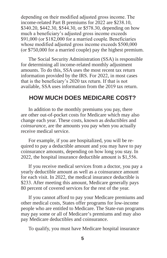depending on their modified adjusted gross income. The income-related Part B premiums for 2022 are \$238.10, \$340.20, \$442.30, \$544.30, or \$578.30, depending on how much a beneficiary's adjusted gross income exceeds \$91,000 (or \$182,000 for a married couple. Beneficiaries whose modified adjusted gross income exceeds \$500,000 (or \$750,000 for a married couple) pay the highest premium.

The Social Security Administration (SSA) is responsible for determining all income-related monthly adjustment amounts. To do this, SSA uses the most recent tax return information provided by the IRS. For 2022, in most cases that is the beneficiary's 2020 tax return. If that is not available, SSA uses information from the 2019 tax return.

# **HOW MUCH DOES MEDICARE COST?**

In addition to the monthly premiums you pay, there are other out-of-pocket costs for Medicare which may also change each year. These costs, known as *deductibles* and *coinsurance*, are the amounts you pay when you actually receive medical service.

For example, if you are hospitalized, you will be required to pay a deductible amount and you may have to pay coinsurance amounts, depending on how long you stay. In 2022, the hospital insurance deductible amount is \$1,556.

If you receive medical services from a doctor, you pay a yearly deductible amount as well as a coinsurance amount for each visit. In 2022, the medical insurance deductible is \$233. After meeting this amount, Medicare generally pays 80 percent of covered services for the rest of the year.

If you cannot afford to pay your Medicare premiums and other medical costs, States offer programs for low-income people who are entitled to Medicare. The State-run programs may pay some or all of Medicare's premiums and may also pay Medicare deductibles and coinsurance.

To qualify, you must have Medicare hospital insurance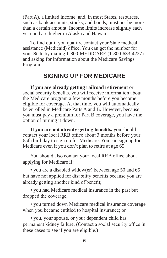(Part A), a limited income, and, in most States, resources, such as bank accounts, stocks, and bonds, must not be more than a certain amount. Income limits increase slightly each year and are higher in Alaska and Hawaii.

To find out if you qualify, contact your State medical assistance (Medicaid) office. You can get the number for your State by dialing 1-800-MEDICARE (1-800-633-4227) and asking for information about the Medicare Savings Program.

# **SIGNING UP FOR MEDICARE**

**If you are already getting railroad retirement** or social security benefits, you will receive information about the Medicare program a few months before you become eligible for coverage. At that time, you will automatically be enrolled in Medicare Parts A and B. However, because you must pay a premium for Part B coverage, you have the option of turning it down.

**If you are not already getting benefits,** you should contact your local RRB office about 3 months before your 65th birthday to sign up for Medicare. You can sign up for Medicare even if you don't plan to retire at age 65.

You should also contact your local RRB office about applying for Medicare if:

**•** you are a disabled widow(er) between age 50 and 65 but have not applied for disability benefits because you are already getting another kind of benefit;

**•** you had Medicare medical insurance in the past but dropped the coverage;

• you turned down Medicare medical insurance coverage when you became entitled to hospital insurance; or

**•** you, your spouse, or your dependent child has permanent kidney failure. (Contact a social security office in these cases to see if you are eligible.)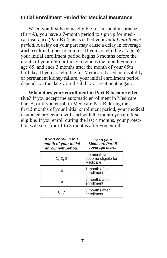#### **Initial Enrollment Period for Medical Insurance**

When you first become eligible for hospital insurance (Part A), you have a 7-month period to sign up for medical insurance (Part B). This is called your *initial enrollment period*. A delay on your part may cause a delay in coverage **and** result in higher premiums. If you are eligible at age 65, your initial enrollment period begins 3 months before the month of your 65th birthday; includes the month you turn age 65; and ends 3 months after the month of your 65th birthday. If you are eligible for Medicare based on disability or permanent kidney failure, your initial enrollment period depends on the date your disability or treatment began.

**When does your enrollment in Part B become effective?** If you accept the automatic enrollment in Medicare Part B, or if you enroll in Medicare Part B during the first 3 months of your initial enrollment period, your medical insurance protection will start with the month you are first eligible. If you enroll during the last 4 months, your protection will start from 1 to 3 months after you enroll.

| If you enroll in this<br>month of your initial<br>enrollment period: | Then your<br><b>Medicare Part B</b><br>coverage starts: |
|----------------------------------------------------------------------|---------------------------------------------------------|
| 1, 2, 3                                                              | the month you<br>become eligible for<br>Medicare        |
|                                                                      | 1 month after<br>enrollment                             |
|                                                                      | 2 months after<br>enrollment                            |
| 6. 7                                                                 | 3 months after<br>enrollment                            |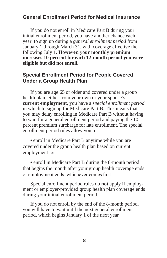#### **General Enrollment Period for Medical Insurance**

If you do not enroll in Medicare Part B during your initial enrollment period, you have another chance each year to sign up during a *general enrollment period* from January 1 through March 31, with coverage effective the following July 1. **However, your monthly premium increases 10 percent for each 12-month period you were eligible but did not enroll.**

#### **Special Enrollment Period for People Covered Under a Group Health Plan**

If you are age 65 or older and covered under a group health plan, either from your own or your spouse's **current employment**, you have a *special enrollment period* in which to sign up for Medicare Part B. This means that you may delay enrolling in Medicare Part B without having to wait for a general enrollment period and paying the 10 percent premium surcharge for late enrollment. The special enrollment period rules allow you to:

**•** enroll in Medicare Part B anytime while you are covered under the group health plan based on current employment; or

**•** enroll in Medicare Part B during the 8-month period that begins the month after your group health coverage ends or employment ends, whichever comes first.

Special enrollment period rules do **not** apply if employment or employer-provided group health plan coverage ends during your initial enrollment period.

If you do not enroll by the end of the 8-month period, you will have to wait until the next general enrollment period, which begins January 1 of the next year.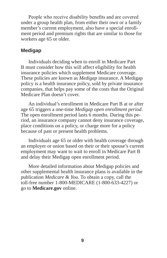People who receive disability benefits and are covered under a group health plan, from either their own or a family member's current employment, also have a special enrollment period and premium rights that are similar to those for workers age 65 or older.

#### **Medigap**

Individuals deciding when to enroll in Medicare Part B must consider how this will affect eligibility for health insurance policies which supplement Medicare coverage. These policies are known as *Medigap* insurance. A Medigap policy is a health insurance policy, sold by private insurance companies, that helps pay some of the costs that the Original Medicare Plan doesn't cover.

An individual's enrollment in Medicare Part B at or after age 65 triggers a one-time *Medigap open enrollment period*. The open enrollment period lasts 6 months. During this period, an insurance company cannot deny insurance coverage, place conditions on a policy, or charge more for a policy because of past or present health problems.

Individuals age 65 or older with health coverage through an employer or union based on their or their spouse's current employment may want to wait to enroll in Medicare Part B and delay their Medigap open enrollment period.

More detailed information about Medigap policies and other supplemental health insurance plans is available in the publication *Medicare & You*. To obtain a copy, call the toll-free number 1-800-MEDICARE (1-800-633-4227) or go to **Medicare.gov** online.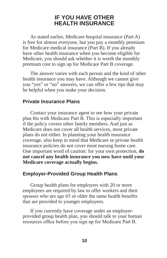#### **IF YOU HAVE OTHER HEALTH INSURANCE**

As stated earlier, Medicare hospital insurance (Part A) is free for almost everyone, but you pay a monthly premium for Medicare medical insurance (Part B). If you already have other health insurance when you become eligible for Medicare, you should ask whether it is worth the monthly premium cost to sign up for Medicare Part B coverage.

The answer varies with each person and the kind of other health insurance you may have. Although we cannot give you "yes" or "no" answers, we can offer a few tips that may be helpful when you make your decision.

#### **Private Insurance Plans**

Contact your insurance agent to see how your private plan fits with Medicare Part B. This is especially important if the policy covers other family members. And just as Medicare does not cover all health services, most private plans do not either. In planning your health insurance coverage, also keep in mind that Medicare or private health insurance policies do not cover most nursing home care. One important word of caution: for your own protection, **do not cancel any health insurance you now have until your Medicare coverage actually begins.**

#### **Employer-Provided Group Health Plans**

Group health plans for employers with 20 or more employees are required by law to offer workers and their spouses who are age 65 or older the same health benefits that are provided to younger employees.

If you currently have coverage under an employerprovided group health plan, you should talk to your human resources office before you sign up for Medicare Part B.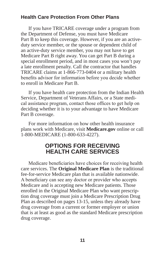#### **Health Care Protection From Other Plans**

If you have TRICARE coverage under a program from the Department of Defense, you must have Medicare Part B to keep this coverage. However, if you are an activeduty service member, or the spouse or dependent child of an active-duty service member, you may not have to get Medicare Part B right away. You can get Part B during a special enrollment period, and in most cases you won't pay a late enrollment penalty. Call the contractor that handles TRICARE claims at 1-866-773-0404 or a military health benefits advisor for information before you decide whether to enroll in Medicare Part B.

If you have health care protection from the Indian Health Service, Department of Veterans Affairs, or a State medical assistance program, contact those offices to get help on deciding whether it is to your advantage to have Medicare Part B coverage.

For more information on how other health insurance plans work with Medicare, visit **Medicare.gov** online or call 1-800-MEDICARE (1-800-633-4227).

### **OPTIONS FOR RECEIVING HEALTH CARE SERVICES**

Medicare beneficiaries have choices for receiving health care services. The **Original Medicare Plan** is the traditional fee-for-service Medicare plan that is available nationwide. A beneficiary can see any doctor or provider who accepts Medicare and is accepting new Medicare patients. Those enrolled in the Original Medicare Plan who want prescription drug coverage must join a Medicare Prescription Drug Plan as described on pages 13-15, unless they already have drug coverage from a current or former employer or union that is at least as good as the standard Medicare prescription drug coverage.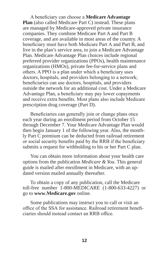A beneficiary can choose a **Medicare Advantage Plan** (also called Medicare Part C) instead. These plans are managed by Medicare-approved private insurance companies. They combine Medicare Part A and Part B coverage, and are available in most areas of the country. A beneficiary must have both Medicare Part A and Part B, and live in the plan's service area, to join a Medicare Advantage Plan. Medicare Advantage Plan choices include regional preferred provider organizations (PPOs), health maintenance organizations (HMOs), private fee-for-service plans and others. A PPO is a plan under which a beneficiary uses doctors, hospitals, and providers belonging to a network; beneficiaries can use doctors, hospitals, and providers outside the network for an additional cost. Under a Medicare Advantage Plan, a beneficiary may pay lower copayments and receive extra benefits. Most plans also include Medicare prescription drug coverage (Part D).

Beneficiaries can generally join or change plans once each year during an enrollment period from October 15 through December 7. Your Medicare Advantage Plan would then begin January 1 of the following year. Also, the monthly Part C premium can be deducted from railroad retirement or social security benefits paid by the RRB if the beneficiary submits a request for withholding to his or her Part C plan.

You can obtain more information about your health care options from the publication *Medicare & You*. This general guide is mailed after enrollment in Medicare, with an updated version mailed annually thereafter.

To obtain a copy of any publication, call the Medicare toll-free number 1-800-MEDICARE (1-800-633-4227) or go to **www.Medicare.gov** online.

Some publications may instruct you to call or visit an office of the SSA for assistance. Railroad retirement beneficiaries should instead contact an RRB office.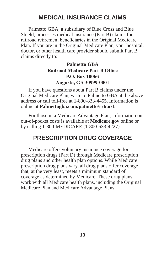# **MEDICAL INSURANCE CLAIMS**

Palmetto GBA, a subsidiary of Blue Cross and Blue Shield, processes medical insurance (Part B) claims for railroad retirement beneficiaries in the Original Medicare Plan. If you are in the Original Medicare Plan, your hospital, doctor, or other health care provider should submit Part B claims directly to:

#### **Palmetto GBA Railroad Medicare Part B Office P.O. Box 10066 Augusta, GA 30999-0001**

If you have questions about Part B claims under the Original Medicare Plan, write to Palmetto GBA at the above address or call toll-free at 1-800-833-4455. Information is online at **Palmettogba.com/palmetto/rrb.nsf**.

For those in a Medicare Advantage Plan, information on out-of-pocket costs is available at **Medicare.gov** online or by calling 1-800-MEDICARE (1-800-633-4227).

# **PRESCRIPTION DRUG COVERAGE**

Medicare offers voluntary insurance coverage for prescription drugs (Part D) through Medicare prescription drug plans and other health plan options. While Medicare prescription drug plans vary, all drug plans offer coverage that, at the very least, meets a minimum standard of coverage as determined by Medicare. These drug plans work with all Medicare health plans, including the Original Medicare Plan and Medicare Advantage Plans.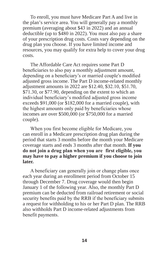To enroll, you must have Medicare Part A and live in the plan's service area. You will generally pay a monthly premium (averaging about \$43 in 2022) and an annual deductible (up to \$480 in 2022). You must also pay a share of your prescription drug costs. Costs vary depending on the drug plan you choose. If you have limited income and resources, you may qualify for extra help to cover your drug costs.

The Affordable Care Act requires some Part D beneficiaries to also pay a monthly adjustment amount, depending on a beneficiary's or married couple's modified adjusted gross income. The Part D income-related monthly adjustment amounts in 2022 are \$12.40, \$32.10, \$51.70, \$71.30, or \$77.90, depending on the extent to which an individual beneficiary's modified adjusted gross income exceeds \$91,000 (or \$182,000 for a married couple), with the highest amounts only paid by beneficiaries whose incomes are over \$500,000 (or \$750,000 for a married couple).

When you first become eligible for Medicare, you can enroll in a Medicare prescription drug plan during the period that starts 3 months before the month your Medicare coverage starts and ends 3 months after that month. **If you do not join a drug plan when you are first eligible, you may have to pay a higher premium if you choose to join later.**

A beneficiary can generally join or change plans once each year during an enrollment period from October 15 through December 7. Drug coverage would then begin January 1 of the following year. Also, the monthly Part D premium can be deducted from railroad retirement or social security benefits paid by the RRB if the beneficiary submits a request for withholding to his or her Part D plan. The RRB also withholds Part D income-related adjustments from benefit payments.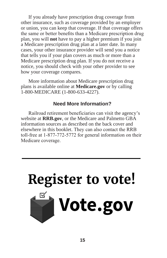If you already have prescription drug coverage from other insurance, such as coverage provided by an employer or union, you can keep that coverage. If that coverage offers the same or better benefits than a Medicare prescription drug plan, you will **not** have to pay a higher premium if you join a Medicare prescription drug plan at a later date. In many cases, your other insurance provider will send you a notice that tells you if your plan covers as much or more than a Medicare prescription drug plan. If you do not receive a notice, you should check with your other provider to see how your coverage compares.

More information about Medicare prescription drug plans is available online at **Medicare.gov** or by calling 1-800-MEDICARE (1-800-633-4227).

#### **Need More Information?**

Railroad retirement beneficiaries can visit the agency's website at **RRB.gov**, or the Medicare and Palmetto GBA information sources as described on the back cover and elsewhere in this booklet. They can also contact the RRB toll-free at 1-877-772-5772 for general information on their Medicare coverage.

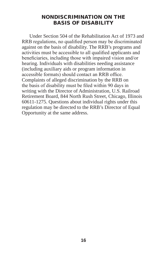#### NONDISCRIMINATION ON THE BASIS OF DISABILITY

Under Section 504 of the Rehabilitation Act of 1973 and RRB regulations, no qualified person may be discriminated against on the basis of disability. The RRB's programs and activities must be accessible to all qualified applicants and beneficiaries, including those with impaired vision and/or hearing. Individuals with disabilities needing assistance (including auxiliary aids or program information in accessible formats) should contact an RRB office. Complaints of alleged discrimination by the RRB on the basis of disability must be filed within 90 days in writing with the Director of Administration, U.S. Railroad Retirement Board, 844 North Rush Street, Chicago, Illinois 60611-1275. Questions about individual rights under this regulation may be directed to the RRB's Director of Equal Opportunity at the same address.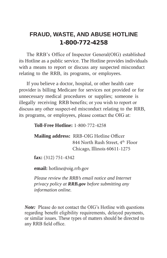# **FRAUD, WASTE, AND ABUSE HOTLINE** 1-800-772-4258

The RRB's Office of Inspector General(OIG) established its Hotline as a public service. The Hotline provides individuals with a means to report or discuss any suspected misconduct relating to the RRB, its programs, or employees.

If you believe a doctor, hospital, or other health care provider is billing Medicare for services not provided or for unnecessary medical procedures or supplies; someone is illegally receiving RRB benefits; or you wish to report or discuss any other suspect-ed misconduct relating to the RRB, its programs, or employees, please contact the OIG at:

**Toll-Free Hotline:** 1-800-772-4258

**Mailing address:** RRB-OIG Hotline Officer 844 North Rush Street, 4<sup>th</sup> Floor Chicago, Illinois 60611-1275

**fax:** (312) 751-4342

**email:** hotline@oig.rrb.gov

*Please review the RRB's email notice and Internet privacy policy at RRB.gov before submitting any information online.* 

*Note:* Please do not contact the OIG's Hotline with questions regarding benefit eligibility requirements, delayed payments, or similar issues. These types of matters should be directed to any RRB field office.